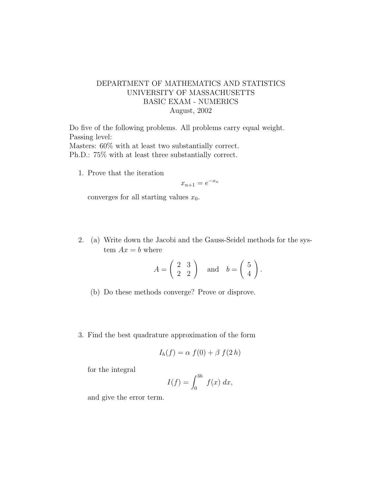## DEPARTMENT OF MATHEMATICS AND STATISTICS UNIVERSITY OF MASSACHUSETTS BASIC EXAM - NUMERICS August, 2002

Do five of the following problems. All problems carry equal weight. Passing level: Masters: 60% with at least two substantially correct. Ph.D.: 75% with at least three substantially correct.

1. Prove that the iteration

$$
x_{n+1} = e^{-x_n}
$$

converges for all starting values  $x_0$ .

2. (a) Write down the Jacobi and the Gauss-Seidel methods for the system  $Ax = b$  where

$$
A = \begin{pmatrix} 2 & 3 \\ 2 & 2 \end{pmatrix} \quad \text{and} \quad b = \begin{pmatrix} 5 \\ 4 \end{pmatrix}.
$$

- (b) Do these methods converge? Prove or disprove.
- 3. Find the best quadrature approximation of the form

$$
I_h(f) = \alpha f(0) + \beta f(2h)
$$

for the integral

$$
I(f) = \int_0^{3h} f(x) \, dx,
$$

and give the error term.